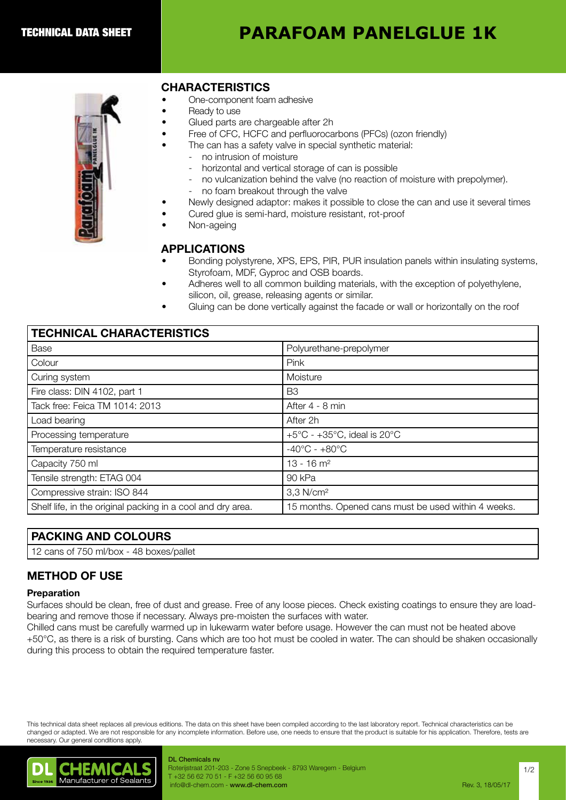# **PARAFOAM PANELGLUE 1K**



## CHARACTERISTICS

- One-component foam adhesive
- Ready to use
- Glued parts are chargeable after 2h
- Free of CFC, HCFC and perfluorocarbons (PFCs) (ozon friendly)
- The can has a safety valve in special synthetic material:
	- no intrusion of moisture
		- horizontal and vertical storage of can is possible
		- no vulcanization behind the valve (no reaction of moisture with prepolymer).
		- no foam breakout through the valve
- Newly designed adaptor: makes it possible to close the can and use it several times
- Cured glue is semi-hard, moisture resistant, rot-proof
- Non-ageing

#### APPLICATIONS

- Bonding polystyrene, XPS, EPS, PIR, PUR insulation panels within insulating systems, Styrofoam, MDF, Gyproc and OSB boards.
- Adheres well to all common building materials, with the exception of polyethylene, silicon, oil, grease, releasing agents or similar.
- Gluing can be done vertically against the facade or wall or horizontally on the roof

|  | <b>TECHNICAL CHARACTERISTICS</b> |
|--|----------------------------------|
|--|----------------------------------|

| 1 LUI 1111UAL UI 1AI 1AU 1 LI 11U 1 1UU                     |                                                            |  |
|-------------------------------------------------------------|------------------------------------------------------------|--|
| Base                                                        | Polyurethane-prepolymer                                    |  |
| Colour                                                      | Pink                                                       |  |
| Curing system                                               | Moisture                                                   |  |
| Fire class: DIN 4102, part 1                                | B <sub>3</sub>                                             |  |
| Tack free: Feica TM 1014: 2013                              | After 4 - 8 min                                            |  |
| Load bearing                                                | After 2h                                                   |  |
| Processing temperature                                      | $+5^{\circ}$ C - $+35^{\circ}$ C, ideal is 20 $^{\circ}$ C |  |
| Temperature resistance                                      | $-40^{\circ}$ C - $+80^{\circ}$ C                          |  |
| Capacity 750 ml                                             | $13 - 16$ m <sup>2</sup>                                   |  |
| Tensile strength: ETAG 004                                  | 90 kPa                                                     |  |
| Compressive strain: ISO 844                                 | 3,3 N/cm <sup>2</sup>                                      |  |
| Shelf life, in the original packing in a cool and dry area. | 15 months. Opened cans must be used within 4 weeks.        |  |

### PACKING AND COLOURS

12 cans of 750 ml/box - 48 boxes/pallet

## METHOD OF USE

#### Preparation

Surfaces should be clean, free of dust and grease. Free of any loose pieces. Check existing coatings to ensure they are loadbearing and remove those if necessary. Always pre-moisten the surfaces with water.

Chilled cans must be carefully warmed up in lukewarm water before usage. However the can must not be heated above +50°C, as there is a risk of bursting. Cans which are too hot must be cooled in water. The can should be shaken occasionally during this process to obtain the required temperature faster.

This technical data sheet replaces all previous editions. The data on this sheet have been compiled according to the last laboratory report. Technical characteristics can be changed or adapted. We are not responsible for any incomplete information. Before use, one needs to ensure that the product is suitable for his application. Therefore, tests are necessary. Our general conditions apply.